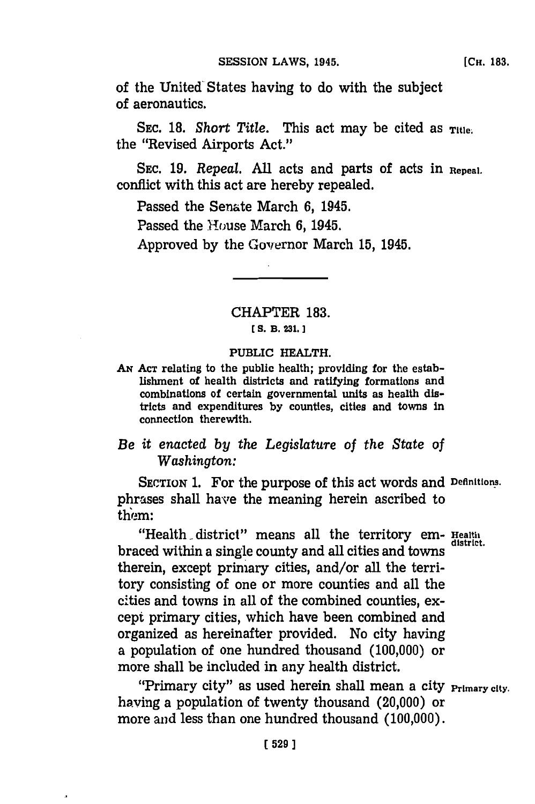of the United- States having to do with the subject of aeronautics.

SEC. 18. *Short Title*. This act may be cited as **Title**. the "Revised Airports Act."

**SEC. 19.** *Repeal.* **All** acts and parts of acts in **Repeal.** conflict with this act are hereby repealed.

Passed the Senate March **6,** 1945.

Passed the House March **6,** 1945.

Approved by the Governor March 15, 1945.

CHAPTER **183.**

## **[ S. B. 231.]3**

## PUBLIC HEALTH.

**AN ACT** relating to the public health; providing for the establishnment of health districts and ratifying formations and combinations of certain governmental units as health districts and expenditures **by** counties, cities and towns in connection therewith.

# *Be it enacted by the Legislature of the State of Washington:*

SECTION **1.** For the purpose of this act words and **Definitions.** phrases shall have the meaning herein ascribed to thiem:

"Health district" means all the territory em- Health braced within a single county and all cities and towns therein, except primary cities, and/or all the territory consisting of one or more counties and all the cities and towns in all of the combined counties, except primary cities, which have been combined and organized as hereinafter provided. No city having a population of one hundred thousand **(100,000)** or more shall be included in any health district.

"Primary city" as used herein shall mean a city **Primary city.** having a population of twenty thousand (20,000) or more and less than one hundred thousand **(100,000).**

J,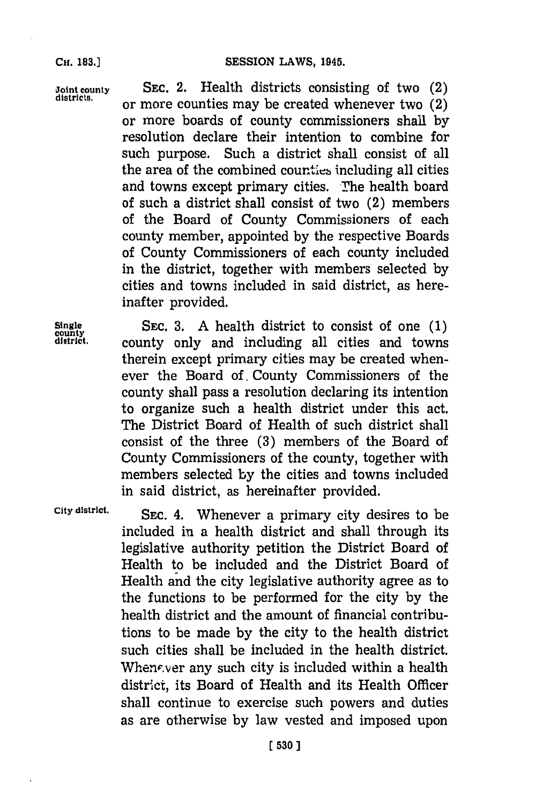**SESSION LAWS, 1945.** 

**Joint county SEC.** 2. Health districts consisting of two (2) or more counties may be created whenever two  $(2)$ or more boards of county commissioners shall **by** resolution declare their intention to combine for such purpose. Such a district shall consist of all the area of the combined counties including all cities and towns except primary cities. The health board of such a district shall consist of two (2) members of the Board of County Commissioners of each county member, appointed **by** the respective Boards of County Commissioners of each county included in the district, together with members selected **by** cities and towns included in said district, as hereinafter provided.

**Single SEC. 3. A** health district to consist of one **(1)** county only and including all cities and towns therein except primary cities may be created whenever the Board of. County Commissioners of the county shall pass a resolution declaring its intention to organize such a health district under this act. The District Board of Health of such district shall consist of the three **(3)** members of the Board of County Commissioners of the county, together with members selected **by** the cities and towns included in said district, as hereinafter provided.

**City district. SEC.** 4. Whenever a primary city desires to be included in a health district and shall through its legislative authority petition the District Board of Health to be included and the District Board of Health and the city legislative authority agree as to the functions to be performed for the city **by** the health district and the amount of financial contributions to be made **by** the city to the health district such cities shall be included in the health district. Whenever any such city is included within a health district, its Board of Health and its Health Officer shall continue to exercise such powers and duties as are otherwise **by** law vested and imposed upon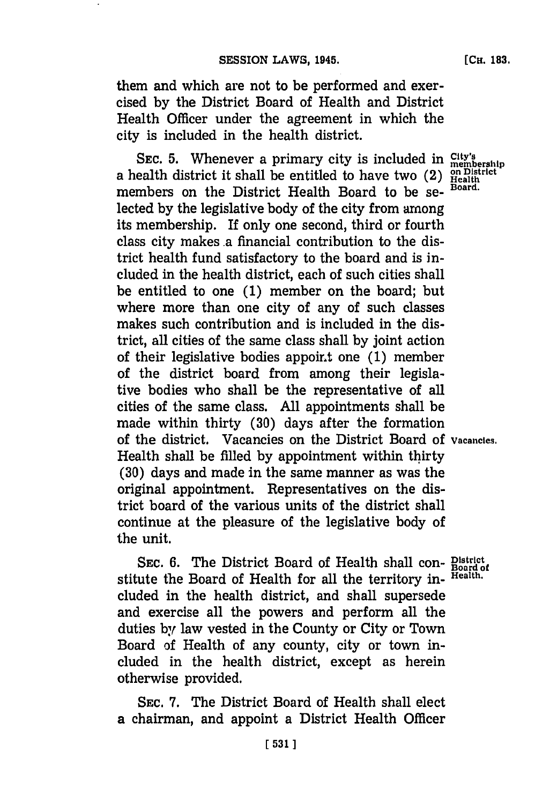them and which are not to be performed and exercised **by** the District Board of Health and District Health Officer under the agreement in which the city is included in the health district.

SEC. 5. Whenever a primary city is included in *City's*<br>a health district it shall be entitled to have two (2) *Health*<br>mealth members on the District Health Board to be se- **Board.** lected **by** the legislative body of the city from among its membership. If only one second, third or fourth class city makes .a financial contribution to the district health fund satisfactory to the board and is included in the health district, each of such cities shall be entitled to one **(1)** member on the board; but where more than one city of any of such classes makes such contribution and is included in the district, all cities of the same class shall **by** joint action of their legislative bodies appoint one (1) member of the district board from among their legislative bodies who shall be the representative of all cities of the same class. **All** appointments shall be made within thirty **(30)** days after the formation of the district. Vacancies on the District Board **Of Vacancies.** Health shall be filled **by** appointment within thirty **(30)** days and made in the same manner as was the original appointment. Representatives on the district board of the various units of the district shall continue at the pleasure of the legislative body of the unit.

**SEC. 6.** The District Board of Health shall con- **District** stitute the Board of Health for all the territory in- **Health.** cluded in the health district, and shall supersede and exercise all the powers and perform all the duties **by** law vested in the County or City or Town Board of Health of any county, city or town included in the health district, except as herein otherwise provided.

SEC. **7.** The District Board of Health shall elect a chairman, and appoint a District Health Officer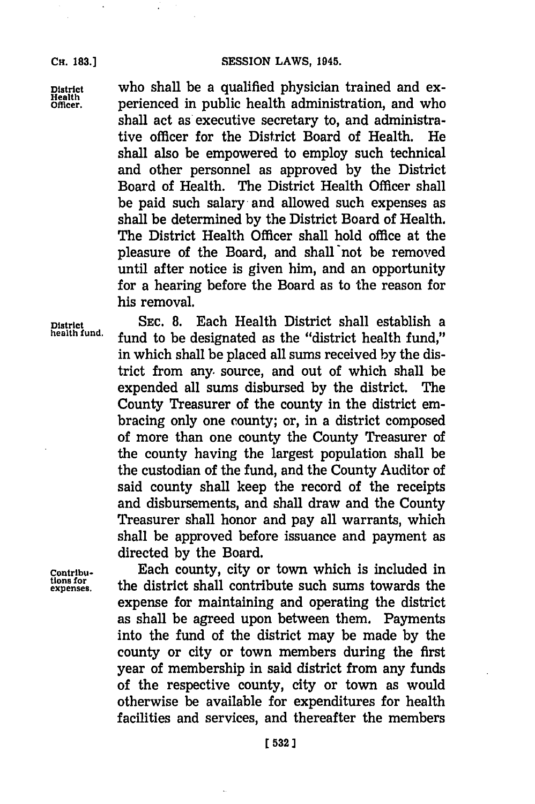## **SESSION LAWS, 1945.**

**CH. 183.]**

**District** who shall be a qualified physician trained and experienced in public health administration, and who shall act as'executive secretary to, and administrative officer for the District Board of Health. He shall also be empowered to employ such technical and other personnel as approved **by** the District Board of Health. The District Health Officer shall be paid such salary and allowed such expenses as shall be determined **by** the District Board of Health. The District Health Officer shall hold office at the pleasure of the Board, and shall not be removed until after notice is given him, and an opportunity for a hearing before the Board as to the reason for his removal.

**District SEC. 8.** Each Health District shall establish a fund to be designated as the "district health fund," in which shall be placed all sums received **by** the district from any. source, and out of which shall be expended all sums disbursed **by** the district. The County Treasurer of the county in the district embracing only one county; or, in a district composed of more than one county the County Treasurer of the county having the largest population shall be the custodian of the fund, and the County Auditor of said county shall keep the record of the receipts and disbursements, and shall draw and the County Treasurer shall honor and pay all warrants, which shall be approved before issuance and payment as directed **by** the Board.

**tions for**<br>expenses.

**Contribu-** Each county, city or town which is included in the district shall contribute such sums towards the expense for maintaining and operating the district as shall be agreed upon between them. Payments into the fund of the district may be made **by** the county or city or town members during the first year of membership in said district from any funds of the respective county, city or town as would otherwise be available for expenditures for health facilities and services, and thereafter the members